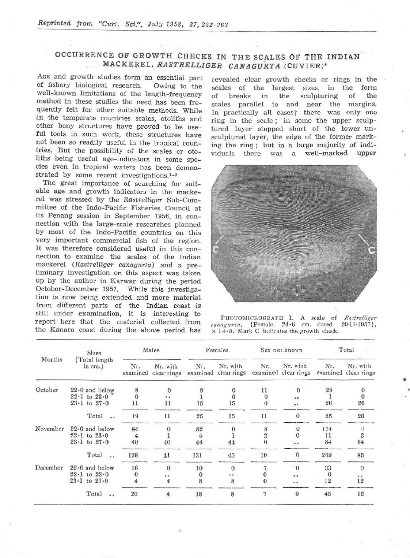## OCCURRENCE OF GROWTH CHECKS IN THE SCALES OF THE INDIAN MACKEREL,. *RASTRELLIGER CANAGURTA* (CUVIER)'

AGE and growth studies form an essential part of fishery biological research. Owing to the well-known limitations of the length-frequency method in these studies the need has been frequently felt for other suitable methods. While in the temperate countries scales, otoliths and other bony structures have proved to be useful tools in such work, these structures have not been so readily useful in the tropical countries. But the possibility of the scales or otoliths being useful age-indicators in some species even in tropical waters has been demonstrated by some recent investigations. $1-9$ 

The great importance of searching for suitable age and growth indicators in the mackerel was stressed by the *Rastrelliger* Sub-Com*mittee* of the Indo-Pacific Fisheries Council at its Penang session in September 1956, in connection with the large-scale researches planned by most of the Indo-Pacific countries on this very important commercial fish of the region. It was therefore considered useful in this connection to examine the scales of the Indian mackerel *(Rastrelliger canagurta)* and a preliminary investigation on this aspect was taken up by the author in Karwar during the period October-December 1957. While this investigation is now being extended and more material from different parts of the Indian coast is still under examination, it is interesting to report here that the material collected from the Kanara coast during the above period has

revealed clear growth checks or rings in the scales of the largest sizes, in the form<br>of breaks in the sculpturing of the breaks in the sculpturing of scales parallel to and near the margins, In practically all cases<sup>+</sup> there was only one ring in the scale; in some the upper sculptured layer stopped short of the lower unsculptured layer, the edge of the former marking the ring; but in a large majority of indithere was a well-marked upper



PHOTOMICROGRAPH 1. A scale of Rastrelliger<br>uggurta. (Female. 24.6 cm. dated 20-11-1957), canagurta. (Female. 24 · 6 cm. dated  $\times$  14 $\cdot$ 5. Mark C indicates the growth check.

•

| Months   | <b>Sizes</b><br>(Total length<br>in $cm.$ ) | Males           |                         | Females      |                                  | Sex not known  |                                  | Total        |                                  |
|----------|---------------------------------------------|-----------------|-------------------------|--------------|----------------------------------|----------------|----------------------------------|--------------|----------------------------------|
|          |                                             | Nr.<br>examined | Nr. with<br>clear rings | Nr.          | Nr. with<br>examined clear rings | Nr.            | Nr. with<br>examined clear rings | Nr.          | Nr. with<br>examined clear rings |
| October  | $22 \cdot 0$ and below                      | 8               | 0                       |              |                                  | 11             | $\Omega$                         | 28           | $\bf{0}$                         |
|          | $22 \cdot 1$ to $23 \cdot 0$                | $\Omega$        |                         |              |                                  | $\theta$       | 0.0                              |              | $\bf{0}$                         |
|          | $23 \cdot 1$ to $27 \cdot 0$                | 11              | 11                      | 15           | 15                               | $\bf{0}$       | $^{\circ}$                       | 26           | 26                               |
|          | Total                                       | 19              | 11                      | 25           | 15                               | 11             | $\Omega$                         | 55           | 26                               |
| November | $22.0$ and below                            | 84              |                         | 82           |                                  | 8              | $\Omega$                         | 174          | ٠,                               |
|          | $22 \cdot 1$ to $23 \cdot 0$                | 4               |                         | $\tilde{D}$  |                                  | $\overline{2}$ |                                  | $_{11}$      | 2                                |
|          | $23 \cdot 1$ to $27 \cdot 0$                | 40              | 40                      | 44           | 44                               |                |                                  | 84           | 84                               |
|          | Total<br>0.5                                | 128             | 41                      | 131          | 45                               | 10             | $\mathbf{0}$                     | 269          | 86                               |
| December | $22.0$ and below                            | 16              | $\Omega$                | 10           | $\Omega$                         | 7              | $\overline{0}$                   | 33           | $\bf{0}$                         |
|          | $22 \cdot 1$ to $23 \cdot 0$                | 0               | 0 <sub>0</sub>          | $\mathbf{0}$ |                                  | 0              | 0 <sub>0</sub>                   | $\mathbf{0}$ | 9.3                              |
|          | $23 \cdot 1$ to $27 \cdot 0$                | 4               | 4                       | 8            | 8                                | $\theta$       | 0.0                              | 12           | 12                               |
|          | Total<br>0 <sup>0</sup>                     | 20              | $\bf 4$                 | 18           | 8                                | 7              | $\bf{0}$                         | 45           | 12                               |